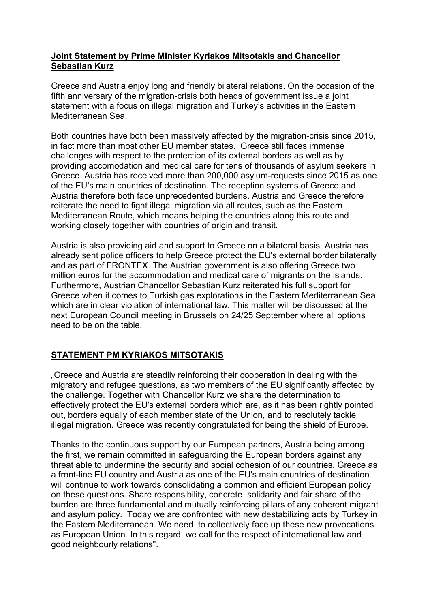## **Joint Statement by Prime Minister Kyriakos Mitsotakis and Chancellor Sebastian Kurz**

Greece and Austria enjoy long and friendly bilateral relations. On the occasion of the fifth anniversary of the migration-crisis both heads of government issue a joint statement with a focus on illegal migration and Turkey's activities in the Eastern Mediterranean Sea.

Both countries have both been massively affected by the migration-crisis since 2015, in fact more than most other EU member states. Greece still faces immense challenges with respect to the protection of its external borders as well as by providing accomodation and medical care for tens of thousands of asylum seekers in Greece. Austria has received more than 200,000 asylum-requests since 2015 as one of the EU's main countries of destination. The reception systems of Greece and Austria therefore both face unprecedented burdens. Austria and Greece therefore reiterate the need to fight illegal migration via all routes, such as the Eastern Mediterranean Route, which means helping the countries along this route and working closely together with countries of origin and transit.

Austria is also providing aid and support to Greece on a bilateral basis. Austria has already sent police officers to help Greece protect the EU's external border bilaterally and as part of FRONTEX. The Austrian government is also offering Greece two million euros for the accommodation and medical care of migrants on the islands. Furthermore, Austrian Chancellor Sebastian Kurz reiterated his full support for Greece when it comes to Turkish gas explorations in the Eastern Mediterranean Sea which are in clear violation of international law. This matter will be discussed at the next European Council meeting in Brussels on 24/25 September where all options need to be on the table.

## **STATEMENT PM KYRIAKOS MITSOTAKIS**

"Greece and Austria are steadily reinforcing their cooperation in dealing with the migratory and refugee questions, as two members of the EU significantly affected by the challenge. Together with Chancellor Kurz we share the determination to effectively protect the EU's external borders which are, as it has been rightly pointed out, borders equally of each member state of the Union, and to resolutely tackle illegal migration. Greece was recently congratulated for being the shield of Europe.

Thanks to the continuous support by our European partners, Austria being among the first, we remain committed in safeguarding the European borders against any threat able to undermine the security and social cohesion of our countries. Greece as a front-line EU country and Austria as one of the EU's main countries of destination will continue to work towards consolidating a common and efficient European policy on these questions. Share responsibility, concrete solidarity and fair share of the burden are three fundamental and mutually reinforcing pillars of any coherent migrant and asylum policy. Today we are confronted with new destabilizing acts by Turkey in the Eastern Mediterranean. We need to collectively face up these new provocations as European Union. In this regard, we call for the respect of international law and good neighbourly relations".